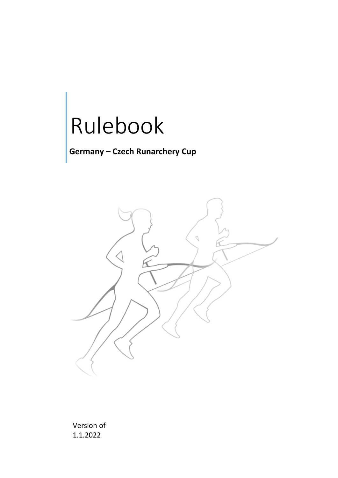# Rulebook

# **Germany – Czech Runarchery Cup**



Version of 1.1.2022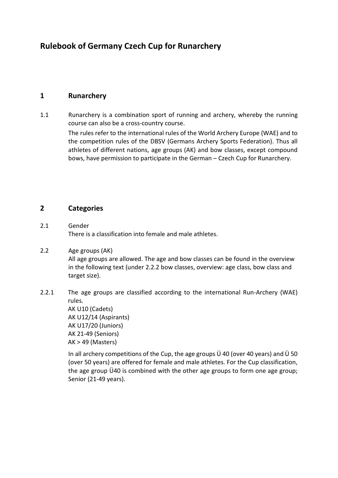# **Rulebook of Germany Czech Cup for Runarchery**

## **1 Runarchery**

1.1 Runarchery is a combination sport of running and archery, whereby the running course can also be a cross-country course. The rules refer to the international rules of the World Archery Europe (WAE) and to

the competition rules of the DBSV (Germans Archery Sports Federation). Thus all athletes of different nations, age groups (AK) and bow classes, except compound bows, have permission to participate in the German – Czech Cup for Runarchery.

# **2 Categories**

# 2.1 Gender

There is a classification into female and male athletes.

- 2.2 Age groups (AK) All age groups are allowed. The age and bow classes can be found in the overview in the following text (under 2.2.2 bow classes, overview: age class, bow class and target size).
- 2.2.1 The age groups are classified according to the international Run-Archery (WAE) rules.

AK U10 (Cadets) AK U12/14 (Aspirants) AK U17/20 (Juniors) AK 21-49 (Seniors) AK > 49 (Masters)

In all archery competitions of the Cup, the age groups Ü 40 (over 40 years) and Ü 50 (over 50 years) are offered for female and male athletes. For the Cup classification, the age group Ü40 is combined with the other age groups to form one age group; Senior (21-49 years).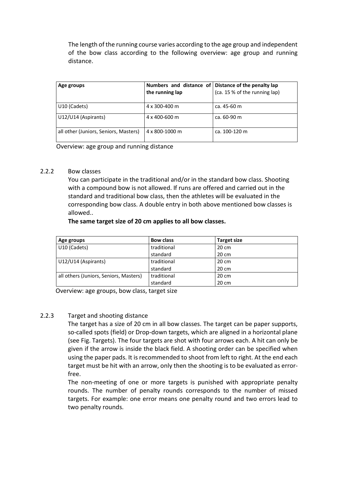The length of the running course varies according to the age group and independent of the bow class according to the following overview: age group and running distance.

| Age groups                            | Numbers and distance of Distance of the penalty lap<br>the running lap | (ca. 15 % of the running lap) |
|---------------------------------------|------------------------------------------------------------------------|-------------------------------|
| U10 (Cadets)                          | 4 x 300-400 m                                                          | ca. 45-60 m                   |
| U12/U14 (Aspirants)                   | $4 \times 400 - 600$ m                                                 | ca. 60-90 m                   |
| all other (Juniors, Seniors, Masters) | 4 x 800-1000 m                                                         | ca. 100-120 m                 |

Overview: age group and running distance

#### 2.2.2 Bow classes

 You can participate in the traditional and/or in the standard bow class. Shooting with a compound bow is not allowed. If runs are offered and carried out in the standard and traditional bow class, then the athletes will be evaluated in the corresponding bow class. A double entry in both above mentioned bow classes is allowed..

#### **The same target size of 20 cm applies to all bow classes.**

| Age groups                             | <b>Bow class</b> | <b>Target size</b> |
|----------------------------------------|------------------|--------------------|
| U10 (Cadets)                           | traditional      | 20 cm              |
|                                        | standard         | 20 cm              |
| U12/U14 (Aspirants)                    | traditional      | 20 cm              |
|                                        | standard         | 20 cm              |
| all others (Juniors, Seniors, Masters) | traditional      | 20 cm              |
|                                        | standard         | 20 cm              |

Overview: age groups, bow class, target size

#### 2.2.3 Target and shooting distance

The target has a size of 20 cm in all bow classes. The target can be paper supports, so-called spots (field) or Drop-down targets, which are aligned in a horizontal plane (see Fig. Targets). The four targets are shot with four arrows each. A hit can only be given if the arrow is inside the black field. A shooting order can be specified when using the paper pads. It is recommended to shoot from left to right. At the end each target must be hit with an arrow, only then the shooting is to be evaluated as errorfree.

The non-meeting of one or more targets is punished with appropriate penalty rounds. The number of penalty rounds corresponds to the number of missed targets. For example: one error means one penalty round and two errors lead to two penalty rounds.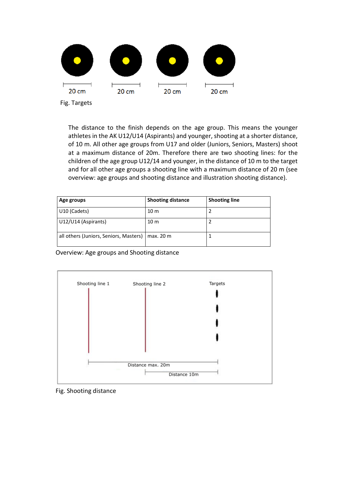

Fig. Targets

The distance to the finish depends on the age group. This means the younger athletes in the AK U12/U14 (Aspirants) and younger, shooting at a shorter distance, of 10 m. All other age groups from U17 and older (Juniors, Seniors, Masters) shoot at a maximum distance of 20m. Therefore there are two shooting lines: for the children of the age group U12/14 and younger, in the distance of 10 m to the target and for all other age groups a shooting line with a maximum distance of 20 m (see overview: age groups and shooting distance and illustration shooting distance).

| Age groups                             | <b>Shooting distance</b> | <b>Shooting line</b> |
|----------------------------------------|--------------------------|----------------------|
| U10 (Cadets)                           | 10 <sub>m</sub>          |                      |
| U12/U14 (Aspirants)                    | 10 <sub>m</sub>          |                      |
| all others (Juniors, Seniors, Masters) | max. 20 m                |                      |

Overview: Age groups and Shooting distance



Fig. Shooting distance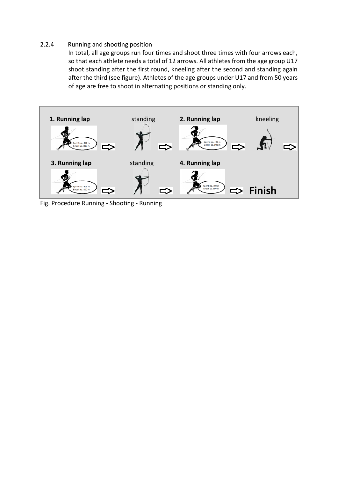#### 2.2.4 Running and shooting position

In total, all age groups run four times and shoot three times with four arrows each, so that each athlete needs a total of 12 arrows. All athletes from the age group U17 shoot standing after the first round, kneeling after the second and standing again after the third (see figure). Athletes of the age groups under U17 and from 50 years of age are free to shoot in alternating positions or standing only.



Fig. Procedure Running - Shooting - Running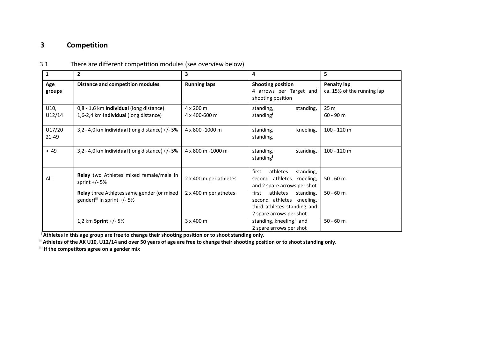# **3 Competition**

| 1               | $\mathbf{2}$                                                                          | 3                          | 4                                                                                                                     | 5.                                               |
|-----------------|---------------------------------------------------------------------------------------|----------------------------|-----------------------------------------------------------------------------------------------------------------------|--------------------------------------------------|
| Age<br>groups   | <b>Distance and competition modules</b>                                               | <b>Running laps</b>        | <b>Shooting position</b><br>4 arrows per Target and<br>shooting position                                              | <b>Penalty lap</b><br>ca. 15% of the running lap |
| U10,<br>U12/14  | 0,8 - 1,6 km Individual (long distance)<br>1,6-2,4 km Individual (long distance)      | 4 x 200 m<br>4 x 400-600 m | standing,<br>standing,<br>standing <sup>i</sup>                                                                       | 25 <sub>m</sub><br>$60 - 90$ m                   |
| U17/20<br>21-49 | $3,2 - 4,0$ km <b>Individual</b> (long distance) +/-5%                                | 4 x 800 - 1000 m           | kneeling,<br>standing,<br>standing,                                                                                   | $100 - 120$ m                                    |
| > 49            | $3,2 - 4,0$ km <b>Individual</b> (long distance) +/-5%                                | 4 x 800 m -1000 m          | standing,<br>standing,<br>standing <sup>i</sup>                                                                       | $100 - 120$ m                                    |
| All             | <b>Relay</b> two Athletes mixed female/male in<br>sprint $+/-$ 5%                     | 2 x 400 m per athletes     | athletes<br>first<br>standing,<br>second athletes<br>kneeling,<br>and 2 spare arrows per shot                         | $50 - 60$ m                                      |
|                 | Relay three Athletes same gender (or mixed<br>gender) <sup>iii</sup> in sprint +/- 5% | 2 x 400 m per athetes      | athletes<br>first<br>standing,<br>second athletes kneeling,<br>third athletes standing and<br>2 spare arrows per shot | $50 - 60$ m                                      |
|                 | 1,2 km <b>Sprint</b> $+/- 5%$                                                         | $3 \times 400$ m           | standing, kneeling " and<br>2 spare arrows per shot                                                                   | $50 - 60$ m                                      |

## 3.1 There are different competition modules (see overview below)

**Athletes in this age group are free to change their shooting position or to shoot standing only.** 

**<sup>ii</sup>** Athletes of the AK U10, U12/14 and over 50 years of age are free to change their shooting position or to shoot standing only.

*i***ii If the competitors agree on a gender mix**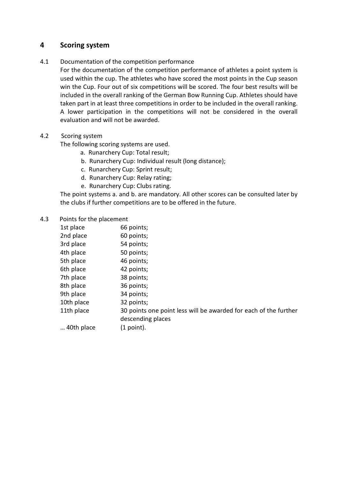# **4 Scoring system**

#### 4.1 Documentation of the competition performance

For the documentation of the competition performance of athletes a point system is used within the cup. The athletes who have scored the most points in the Cup season win the Cup. Four out of six competitions will be scored. The four best results will be included in the overall ranking of the German Bow Running Cup. Athletes should have taken part in at least three competitions in order to be included in the overall ranking. A lower participation in the competitions will not be considered in the overall evaluation and will not be awarded.

#### 4.2 Scoring system

The following scoring systems are used.

- a. Runarchery Cup: Total result;
- b. Runarchery Cup: Individual result (long distance);
- c. Runarchery Cup: Sprint result;
- d. Runarchery Cup: Relay rating;
- e. Runarchery Cup: Clubs rating.

The point systems a. and b. are mandatory. All other scores can be consulted later by the clubs if further competitions are to be offered in the future.

#### 4.3 Points for the placement

| 1st place  | 66 points;                                                                            |
|------------|---------------------------------------------------------------------------------------|
| 2nd place  | 60 points;                                                                            |
| 3rd place  | 54 points;                                                                            |
| 4th place  | 50 points;                                                                            |
| 5th place  | 46 points;                                                                            |
| 6th place  | 42 points;                                                                            |
| 7th place  | 38 points;                                                                            |
| 8th place  | 36 points;                                                                            |
| 9th place  | 34 points;                                                                            |
| 10th place | 32 points;                                                                            |
| 11th place | 30 points one point less will be awarded for each of the further<br>descending places |
| 40th place | $(1$ point).                                                                          |